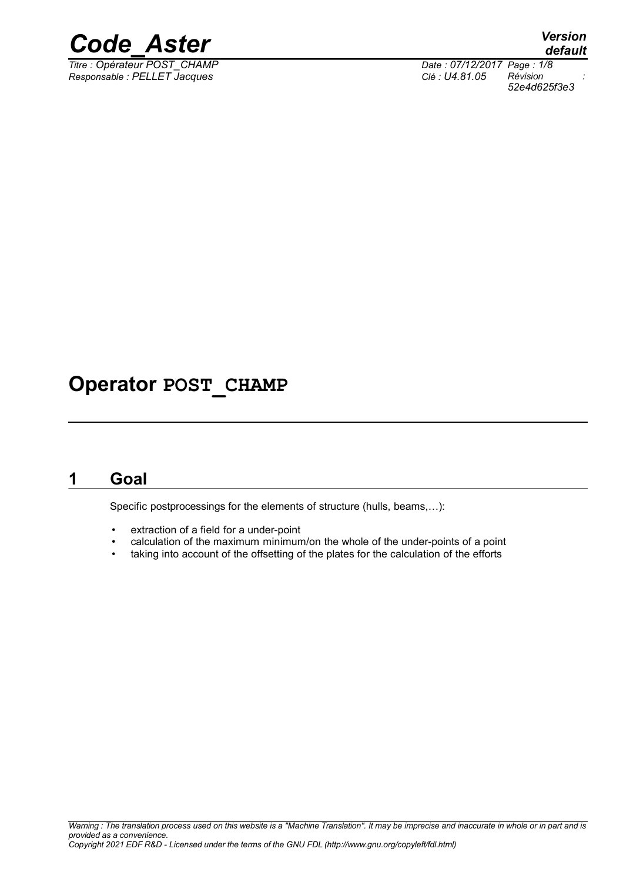

*Titre : Opérateur POST\_CHAMP Date : 07/12/2017 Page : 1/8 Responsable : PELLET Jacques Clé : U4.81.05 Révision :*

*default*

*52e4d625f3e3*

## **Operator POST\_CHAMP**

## **1 Goal**

Specific postprocessings for the elements of structure (hulls, beams,…):

- extraction of a field for a under-point
- calculation of the maximum minimum/on the whole of the under-points of a point
- taking into account of the offsetting of the plates for the calculation of the efforts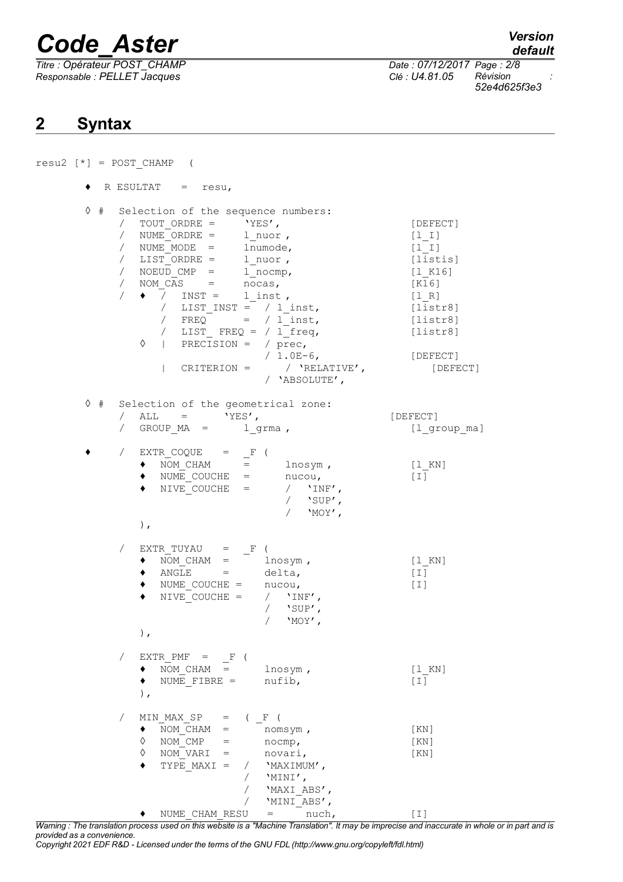*Titre : Opérateur POST\_CHAMP Date : 07/12/2017 Page : 2/8 Responsable : PELLET Jacques Clé : U4.81.05 Révision :*

*default*

*52e4d625f3e3*

### **2 Syntax**

 $resu2$   $[*] = POST$  CHAMP ( ♦ R ESULTAT = resu, ◊ # Selection of the sequence numbers: / TOUT ORDRE =  $'YES'$ , [DEFECT] / NUME ORDRE = l nuor , [l I] / NUME\_MODE = lnumode,  $[1_I]$ / LIST\_ORDRE = l\_nuor , [listis] / NOEUD CMP = l nocmp, [l K16] / NOM\_CAS = nocas, [K16]  $/ \bullet$  / INST = 1\_inst,  $[1_R]$  $\begin{array}{lll} \overline{\phantom{a}} & & \textrm{INST =} & 1 \; \textrm{inst} \; , & & & \textrm{[1_R]} \ \hline \end{array}$ <br>
/ LIST\_INST = / 1\_inst, [listr8]  $/ FREQ$  =  $/ \overline{1}$  inst, [listr8] / LIST  $FREQ = / 1$  freq,  $[lists]$  $\Diamond$  | PRECISION = / prec, / 1.0E-6, [DEFECT] | CRITERION = / 'RELATIVE', [DEFECT] / 'ABSOLUTE', ◊ # Selection of the geometrical zone:  $/$  ALL  $=$  'YES',  $[$  DEFECT]  $\begin{array}{ccc} \text{MSE} & \text{MSE} \\ \text{1.44} & \text{1.46} \\ \text{1.55} & \text{1.47} \\ \text{1.57} & \text{1.47} \\ \text{1.67} & \text{1.47} \\ \text{1.68} & \text{1.47} \\ \text{1.69} & \text{1.47} \\ \text{1.60} & \text{1.47} \\ \text{1.61} & \text{1.47} \\ \text{1.62} & \text{1.47} \\ \text{1.63} & \text{1.47} \\ \text{1.64} & \text{1.47} \\ \$  $\bullet$  / EXTR COQUE = F (  $\bullet$  NOM\_CHAM = lnosym,  $[1_K]$  $\bullet$  NUME COUCHE = nucou,  $[I]$  $\triangleleft$  NIVE COUCHE =  $\frac{1}{\sqrt{2}}$  'INF',  $/$  'MOY', ),  $EXTR_TUVAU = F ($ ♦ NOM\_CHAM = lnosym , [l\_KN]  $\bullet$  ANGLE = delta, [I]  $\bullet$  NUME COUCHE = nucou,  $[1]$ NIVE COUCHE =  $/$  'INF',  $/$  'SUP',  $/$  'MOY', ),  $/$  EXTR PMF =  $F$  ( ♦ NOM\_CHAM = lnosym , [l\_KN]  $\bullet$  NUME FIBRE = nufib,  $[1]$ ), MIN MAX SP =  $(\_F$  (  $\begin{array}{lll}\n\bullet & \overline{NOM} \ \overline{C}HAM & = & \overline{n} \ \hline\n\lozenge & \overline{NOM} \ \overline{C}MP & = & \overline{n} \ \end{array}$ (KN)  $\Diamond$  NOM\_CMP = nocmp, [KN] ◊ NOM\_VARI = novari, [KN]  $\blacklozenge$  TYPE\_MAXI = / 'MAXIMUM',  $/$  'MINI', / 'MAXI\_ABS', / 'MINI\_ABS',  $\bullet$  NUME CHAM RESU = nuch,  $[1]$ 

*Warning : The translation process used on this website is a "Machine Translation". It may be imprecise and inaccurate in whole or in part and is provided as a convenience.*

*Copyright 2021 EDF R&D - Licensed under the terms of the GNU FDL (http://www.gnu.org/copyleft/fdl.html)*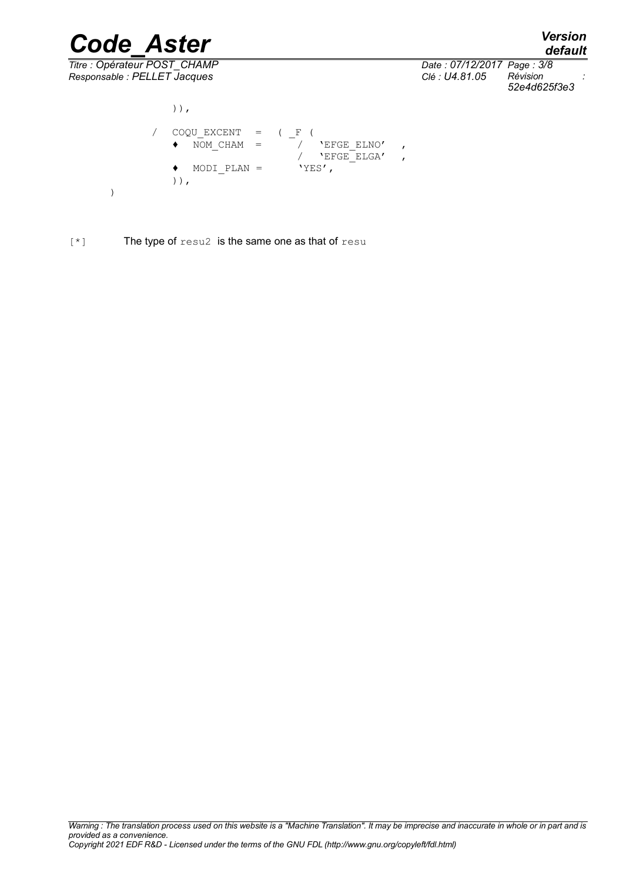*Titre : Opérateur POST\_CHAMP Date : 07/12/2017 Page : 3/8*

*Code\_Aster Version default Responsable : PELLET Jacques Clé : U4.81.05 Révision : 52e4d625f3e3*

)),  $\angle$  COQU\_EXCENT =  $\angle$  F (<br>  $\bullet$  NOM CHAM =  $\angle$  'EFGE ELNO'  $\bullet$  NOM CHAM =  $\sqrt{}$  'EFGE ELNO',  $\overline{X}$   $\overline{Y}$   $\overline{E}$   $\overline{E}$   $\overline{E}$   $\overline{E}$   $\overline{E}$   $\overline{E}$   $\overline{E}$   $\overline{E}$   $\overline{E}$   $\overline{E}$   $\overline{E}$   $\overline{E}$   $\overline{E}$   $\overline{E}$   $\overline{E}$   $\overline{E}$   $\overline{E}$   $\overline{E}$   $\overline{E}$   $\overline{E}$   $\overline{E}$   $\overline{E}$   $\overline{$  $\bullet$  MODI PLAN = )), )

[\*] The type of resu2 is the same one as that of resu

*Warning : The translation process used on this website is a "Machine Translation". It may be imprecise and inaccurate in whole or in part and is provided as a convenience. Copyright 2021 EDF R&D - Licensed under the terms of the GNU FDL (http://www.gnu.org/copyleft/fdl.html)*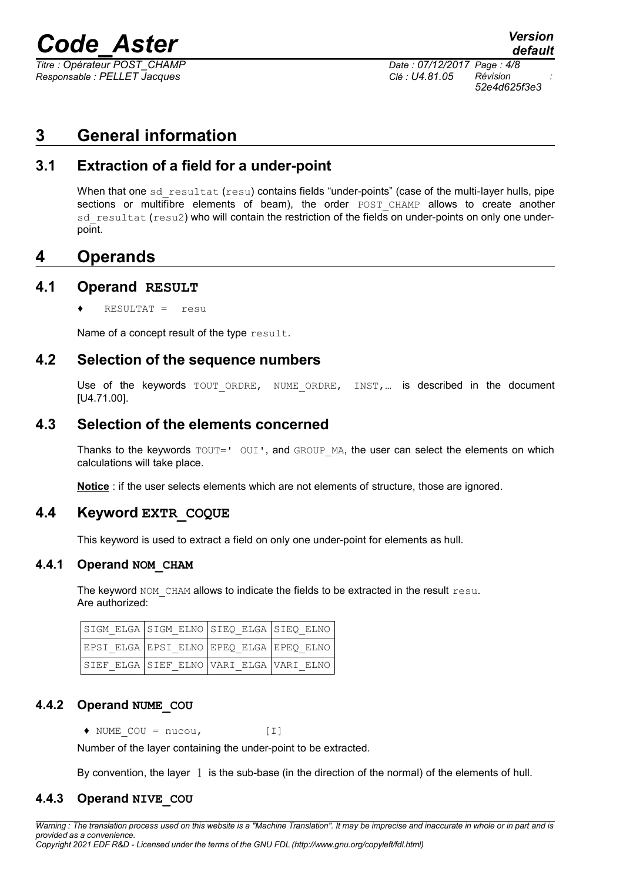*Titre : Opérateur POST\_CHAMP Date : 07/12/2017 Page : 4/8 Responsable : PELLET Jacques Clé : U4.81.05 Révision :*

*52e4d625f3e3*

## **3 General information**

#### **3.1 Extraction of a field for a under-point**

When that one  $sd$  resultat (resu) contains fields "under-points" (case of the multi-layer hulls, pipe sections or multifibre elements of beam), the order POST CHAMP allows to create another sd resultat (resu2) who will contain the restriction of the fields on under-points on only one underpoint.

#### **4 Operands**

#### **4.1 Operand RESULT**

 $RESULTAT =$  resu

Name of a concept result of the type result.

#### **4.2 Selection of the sequence numbers**

Use of the keywords TOUT ORDRE, NUME ORDRE, INST,... is described in the document [U4.71.00].

#### **4.3 Selection of the elements concerned**

Thanks to the keywords  $TOUT='$  OUI', and GROUP MA, the user can select the elements on which calculations will take place.

**Notice** : if the user selects elements which are not elements of structure, those are ignored.

#### **4.4 Keyword EXTR\_COQUE**

<span id="page-3-0"></span>This keyword is used to extract a field on only one under-point for elements as hull.

#### **4.4.1 Operand NOM\_CHAM**

The keyword NOM CHAM allows to indicate the fields to be extracted in the result  $r$ esu. Are authorized:

| SIGM ELGA SIGM ELNO SIEQ ELGA SIEQ ELNO |  |  |
|-----------------------------------------|--|--|
| EPSI ELGA EPSI ELNO EPEQ ELGA EPEQ ELNO |  |  |
| SIEF ELGA SIEF ELNO VARI ELGA VARI ELNO |  |  |

#### **4.4.2 Operand NUME\_COU**

 $\blacklozenge$  NUME COU = nucou,  $[1]$ 

Number of the layer containing the under-point to be extracted.

By convention, the layer 1 is the sub-base (in the direction of the normal) of the elements of hull.

#### **4.4.3 Operand NIVE\_COU**

*Warning : The translation process used on this website is a "Machine Translation". It may be imprecise and inaccurate in whole or in part and is provided as a convenience. Copyright 2021 EDF R&D - Licensed under the terms of the GNU FDL (http://www.gnu.org/copyleft/fdl.html)*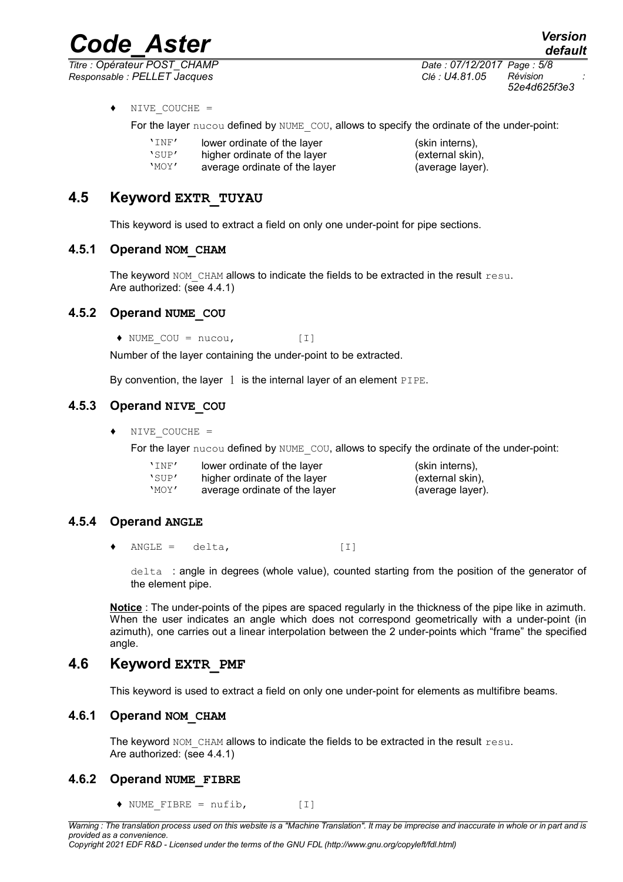*Titre : Opérateur POST\_CHAMP Date : 07/12/2017 Page : 5/8*

*Code\_Aster Version default*

*Responsable : PELLET Jacques Clé : U4.81.05 Révision : 52e4d625f3e3*

♦ NIVE\_COUCHE =

For the layer nucou defined by NUME COU, allows to specify the ordinate of the under-point:

- 'INF' lower ordinate of the layer (skin interns),<br>'SUP' higher ordinate of the layer (external skin
- 'SUP' higher ordinate of the layer (external skin),<br>'MOY' average ordinate of the layer (average layer)
- average ordinate of the layer (average layer).
- 

#### **4.5 Keyword EXTR\_TUYAU**

This keyword is used to extract a field on only one under-point for pipe sections.

#### **4.5.1 Operand NOM\_CHAM**

The keyword NOM CHAM allows to indicate the fields to be extracted in the result resu. Are authorized: (see [4.4.1\)](#page-3-0)

#### **4.5.2 Operand NUME\_COU**

 $\blacklozenge$  NUME COU = nucou, [I]

Number of the layer containing the under-point to be extracted.

By convention, the layer  $1$  is the internal layer of an element PIPE.

#### **4.5.3 Operand NIVE\_COU**

♦ NIVE\_COUCHE =

For the layer nucou defined by NUME COU, allows to specify the ordinate of the under-point:

| 'INF' | lower ordinate of the layer   | (skin interns),  |
|-------|-------------------------------|------------------|
| 'SUP' | higher ordinate of the layer  | (external skin). |
| 'MOY' | average ordinate of the layer | (average layer). |

#### **4.5.4 Operand ANGLE**

 $\bullet$  ANGLE = delta,  $[1]$ 

delta : angle in degrees (whole value), counted starting from the position of the generator of the element pipe.

**Notice** : The under-points of the pipes are spaced regularly in the thickness of the pipe like in azimuth. When the user indicates an angle which does not correspond geometrically with a under-point (in azimuth), one carries out a linear interpolation between the 2 under-points which "frame" the specified angle.

#### **4.6 Keyword EXTR\_PMF**

This keyword is used to extract a field on only one under-point for elements as multifibre beams.

#### **4.6.1 Operand NOM\_CHAM**

The keyword NOM CHAM allows to indicate the fields to be extracted in the result  $r$ esu. Are authorized: (see [4.4.1\)](#page-3-0)

#### **4.6.2 Operand NUME\_FIBRE**

 $\blacklozenge$  NUME FIBRE = nufib,  $[1]$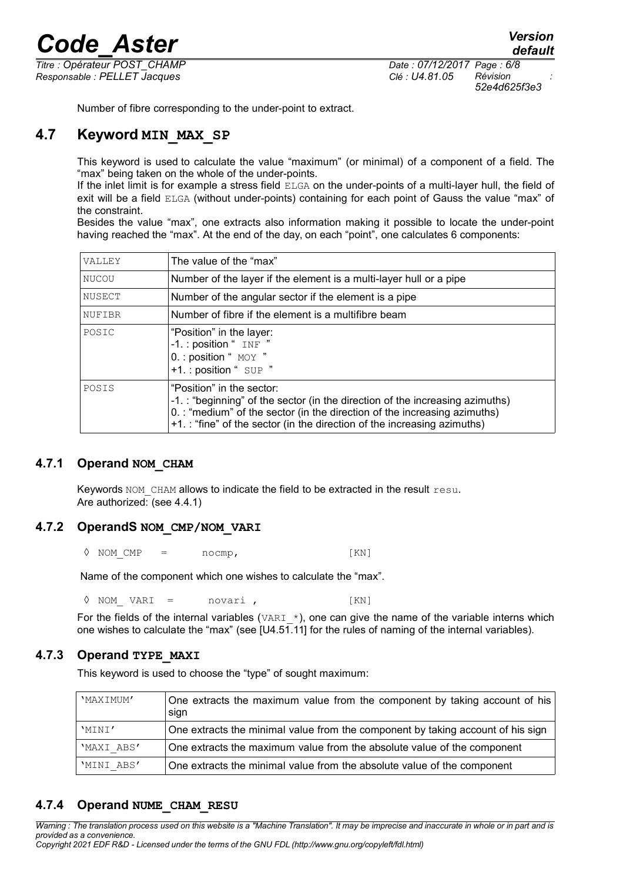*Titre : Opérateur POST\_CHAMP Date : 07/12/2017 Page : 6/8 Responsable : PELLET Jacques Clé : U4.81.05 Révision :*

*52e4d625f3e3*

Number of fibre corresponding to the under-point to extract.

#### **4.7 Keyword MIN\_MAX\_SP**

This keyword is used to calculate the value "maximum" (or minimal) of a component of a field. The "max" being taken on the whole of the under-points.

If the inlet limit is for example a stress field ELGA on the under-points of a multi-layer hull, the field of exit will be a field ELGA (without under-points) containing for each point of Gauss the value "max" of the constraint.

Besides the value "max", one extracts also information making it possible to locate the under-point having reached the "max". At the end of the day, on each "point", one calculates 6 components:

| VALLEY       | The value of the "max"                                                                                                                                                                                                                                            |
|--------------|-------------------------------------------------------------------------------------------------------------------------------------------------------------------------------------------------------------------------------------------------------------------|
| <b>NUCOU</b> | Number of the layer if the element is a multi-layer hull or a pipe                                                                                                                                                                                                |
| NUSECT       | Number of the angular sector if the element is a pipe                                                                                                                                                                                                             |
| NUFIBR       | Number of fibre if the element is a multifibre beam                                                                                                                                                                                                               |
| POSIC        | "Position" in the layer:<br>-1.: position " INF "<br>0. : position " MOY "<br>+1.: position " SUP "                                                                                                                                                               |
| POSIS        | "Position" in the sector:<br>-1.: "beginning" of the sector (in the direction of the increasing azimuths)<br>0. : "medium" of the sector (in the direction of the increasing azimuths)<br>+1.: "fine" of the sector (in the direction of the increasing azimuths) |

#### **4.7.1 Operand NOM\_CHAM**

Keywords  $NOM$  CHAM allows to indicate the field to be extracted in the result  $resu$ . Are authorized: (see [4.4.1\)](#page-3-0)

#### **4.7.2 OperandS NOM\_CMP/NOM\_VARI**

 $\Diamond$  NOM CMP = nocmp, [KN]

Name of the component which one wishes to calculate the "max".

◊ NOM\_ VARI = novari , [KN]

For the fields of the internal variables (VARI  $*$ ), one can give the name of the variable interns which one wishes to calculate the "max" (see [U4.51.11] for the rules of naming of the internal variables).

#### **4.7.3 Operand TYPE\_MAXI**

This keyword is used to choose the "type" of sought maximum:

| 'MAXIMUM'  | One extracts the maximum value from the component by taking account of his<br>sign |
|------------|------------------------------------------------------------------------------------|
| 'MINI'     | One extracts the minimal value from the component by taking account of his sign    |
| 'MAXI ABS' | One extracts the maximum value from the absolute value of the component            |
| 'MINI ABS' | One extracts the minimal value from the absolute value of the component            |

#### **4.7.4 Operand NUME\_CHAM\_RESU**

*Warning : The translation process used on this website is a "Machine Translation". It may be imprecise and inaccurate in whole or in part and is provided as a convenience. Copyright 2021 EDF R&D - Licensed under the terms of the GNU FDL (http://www.gnu.org/copyleft/fdl.html)*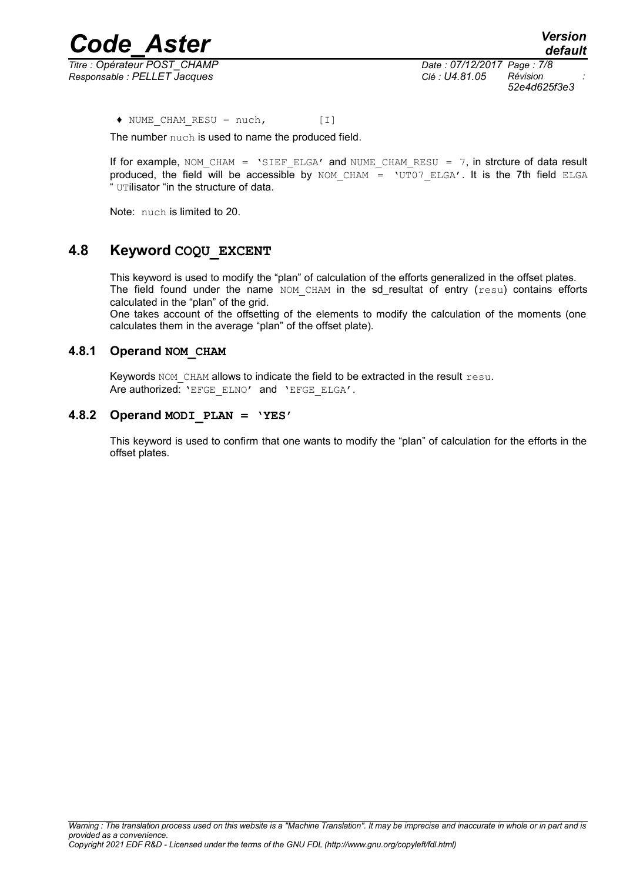*Code\_Aster Version Titre : Opérateur POST\_CHAMP Date : 07/12/2017 Page : 7/8 Responsable : PELLET Jacques Clé : U4.81.05 Révision :*

*52e4d625f3e3*

 $\blacklozenge$  NUME CHAM RESU = nuch, [I]

The number nuch is used to name the produced field.

If for example, NOM\_CHAM = 'SIEF\_ELGA' and NUME\_CHAM\_RESU = 7, in strcture of data result produced, the field will be accessible by NOM\_CHAM = 'UT07\_ELGA'. It is the 7th field ELGA " UTilisator "in the structure of data.

Note: nuch is limited to 20.

#### **4.8 Keyword COQU\_EXCENT**

This keyword is used to modify the "plan" of calculation of the efforts generalized in the offset plates. The field found under the name NOM CHAM in the sd\_resultat of entry (resu) contains efforts calculated in the "plan" of the grid.

One takes account of the offsetting of the elements to modify the calculation of the moments (one calculates them in the average "plan" of the offset plate).

#### **4.8.1 Operand NOM\_CHAM**

Keywords NOM CHAM allows to indicate the field to be extracted in the result resu. Are authorized: 'EFGE\_ELNO' and 'EFGE\_ELGA'.

#### **4.8.2 Operand MODI\_PLAN = 'YES'**

This keyword is used to confirm that one wants to modify the "plan" of calculation for the efforts in the offset plates.